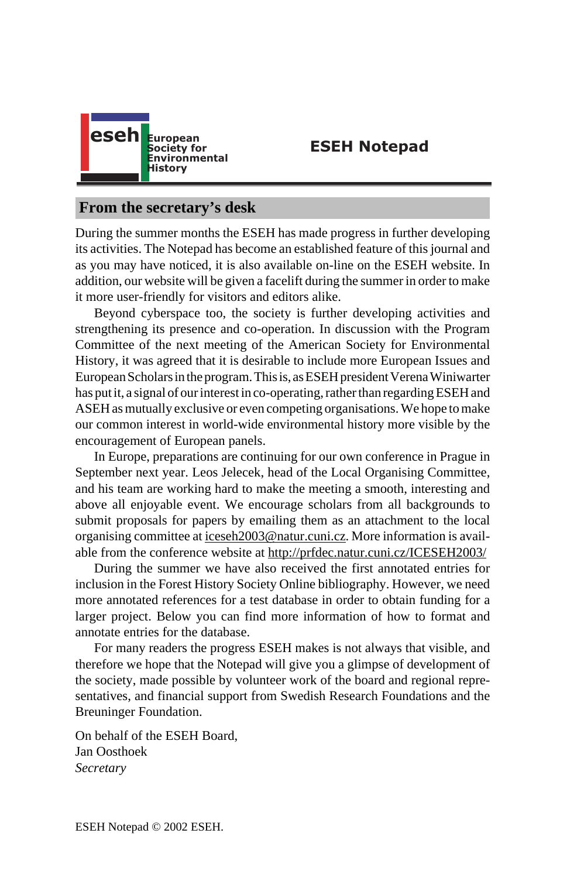

**ESEH Notepad**

# **From the secretary's desk**

During the summer months the ESEH has made progress in further developing its activities. The Notepad has become an established feature of this journal and as you may have noticed, it is also available on-line on the ESEH website. In addition, our website will be given a facelift during the summer in order to make it more user-friendly for visitors and editors alike.

Beyond cyberspace too, the society is further developing activities and strengthening its presence and co-operation. In discussion with the Program Committee of the next meeting of the American Society for Environmental History, it was agreed t[hat it is desirable to include](mailto:iceseh2003@natur.cuni.cz) more European Issues and European Scholars in the program. T[his is, as ESEH president Verena Winiwarter](http://prfdec.natur.cuni.cz/ICESEH2003/) has put it, a signal of our interest in co-operating, rather than regarding ESEH and ASEH as mutually exclusive or even competing organisations. We hope to make our common interest in world-wide environmental history more visible by the encouragement of European panels.

In Europe, preparations are continuing for our own conference in Prague in September next year. Leos Jelecek, head of the Local Organising Committee, and his team are working hard to make the meeting a smooth, interesting and above all enjoyable event. We encourage scholars from all backgrounds to submit proposals for papers by emailing them as an attachment to the local organising committee at iceseh2003@natur.cuni.cz. More information is available from the conference website at http://prfdec.natur.cuni.cz/ICESEH2003/

During the summer we have also received the first annotated entries for inclusion in the Forest History Society Online bibliography. However, we need more annotated references for a test database in order to obtain funding for a larger project. Below you can find more information of how to format and annotate entries for the database.

For many readers the progress ESEH makes is not always that visible, and therefore we hope that the Notepad will give you a glimpse of development of the society, made possible by volunteer work of the board and regional representatives, and financial support from Swedish Research Foundations and the Breuninger Foundation.

On behalf of the ESEH Board, Jan Oosthoek *Secretary*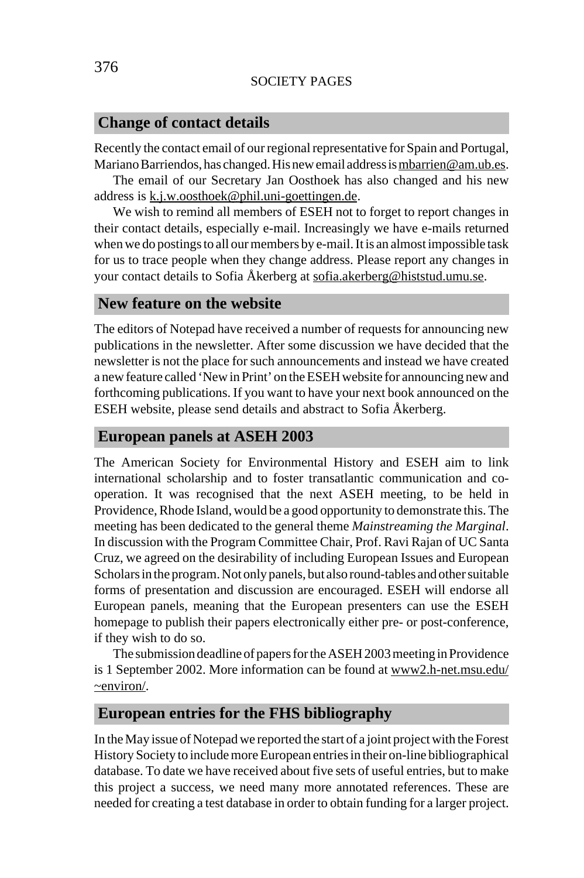#### SOCIETY PAGES

#### **Change of contact details**

Recently the contact email of our regional representative for Spain and Portugal, Mariano Barriendos, has changed. His new email address is mbarrien@am.ub.es.

The email of our Secretary Jan Oosthoek has also changed and his new address is k.j.w.oosthoek@phil.uni-goettingen.de.

We wish to remind all members of ESEH not to forget to report changes in their contact details, especially e-mail. Increasingly we have e-mails returned when we do postings to all our members by e-mail. It is an almost impossible task for us to trace people when they change address. Please report any changes in your contact details to Sofia Åkerberg at sofia.akerberg@histstud.umu.se.

## **New feature on the website**

The editors of Notepad have received a number of requests for announcing new publications in the newsletter. After some discussion we have decided that the newsletter is not the place for such announcements and instead we have created a new feature called 'New in Print' on the ESEH website for announcing new and forthcoming publications. If you want to have your next book announced on the ESEH website, please send details and abstract to Sofia Åkerberg.

#### **European panels at ASEH 2003**

The American Society for Environmental History and ESEH aim to link international scholarship and to foster transatlantic communication and cooperation. It was recognised that the next ASEH m[eeting, to be held in](http://www2.h-net.msu.edu/~environ/) [Providenc](http://www2.h-net.msu.edu/~environ/)e, Rhode Island, would be a good opportunity to demonstrate this. The meeting has been dedicated to the general theme *Mainstreaming the Marginal*. In discussion with the Program Committee Chair, Prof. Ravi Rajan of UC Santa Cruz, we agreed on the desirability of including European Issues and European Scholars in the program. Not only panels, but also round-tables and other suitable forms of presentation and discussion are encouraged. ESEH will endorse all European panels, meaning that the European presenters can use the ESEH homepage to publish their papers electronically either pre- or post-conference, if they wish to do so.

The submission deadline of papers for the ASEH 2003 meeting in Providence is 1 September 2002. More information can be found at www2.h-net.msu.edu/ ~environ/.

### **European entries for the FHS bibliography**

In the May issue of Notepad we reported the start of a joint project with the Forest History Society to include more European entries in their on-line bibliographical database. To date we have received about five sets of useful entries, but to make this project a success, we need many more annotated references. These are needed for creating a test database in order to obtain funding for a larger project.

376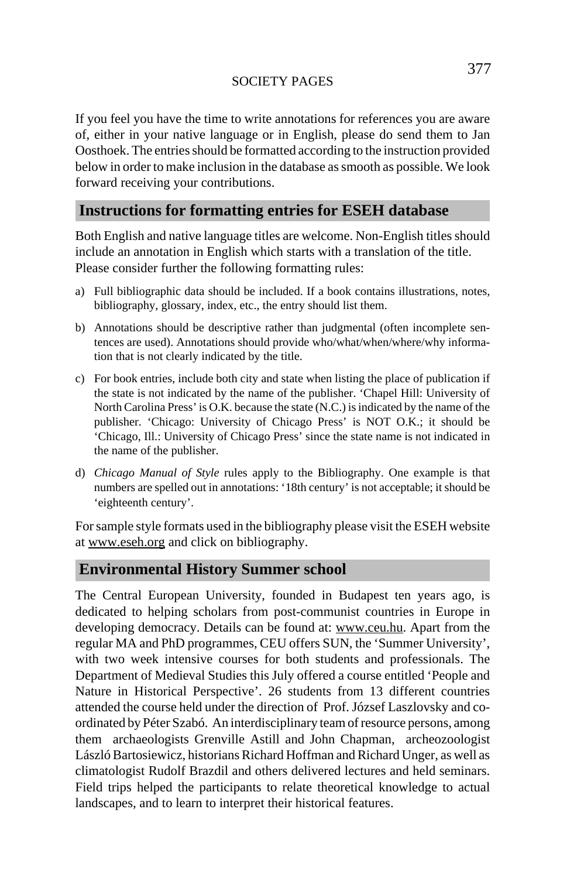#### SOCIETY PAGES

377

If you feel you have the time to write annotations for references you are aware of, either in your native language or in English, please do send them to Jan Oosthoek. The entries should be formatted according to the instruction provided below in order to make inclusion in the database as smooth as possible. We look forward receiving your contributions.

#### **Instructions for formatting entries for ESEH database**

Both English and native language titles are welcome. Non-English titles should include an annotation in English which starts with a translation of the title. Please consider further the following formatting rules:

- a) Full bibliographic data should be included. If a book contains illustrations, notes, bibliography, glossary, index, etc., the entry should list them.
- b) Annotations should be descriptive rather than judgmental (often incomplete sentences are used). Annotations should provide who/what/when/where/why information that is not clearly indicated by the title.
- c) [For book entrie](http://www.eseh.org)s, include both city and state when listing the place of publication if the state is not indicated by the name of the publisher. 'Chapel Hill: University of North Carolina Press' is O.K. because the state (N.C.) is indicated by the name of the publisher. 'Chicago: University of Chicago Press' is NOT O.K.; it should be 'Chicago, Ill.: University of Chicago Press' since the state name is not indicated in the name of the publisher.
- d) *Chicago Manual of Style* rules apply to the Bibliography. One example is that numbers are spelled out in annotations: '18th century' is not acceptable; it should be 'eighteenth century'.

For sample style formats used in the bibliography please visit the ESEH website at www.eseh.org and click on bibliography.

# **Environmental History Summer school**

The Central European University, founded in Budapest ten years ago, is dedicated to helping scholars from post-communist countries in Europe in developing democracy. Details can be found at: www.ceu.hu. Apart from the regular MA and PhD programmes, CEU offers SUN, the 'Summer University', with two week intensive courses for both students and professionals. The Department of Medieval Studies this July offered a course entitled 'People and Nature in Historical Perspective'. 26 students from 13 different countries attended the course held under the direction of Prof. József Laszlovsky and coordinated by Péter Szabó. An interdisciplinary team of resource persons, among them archaeologists Grenville Astill and John Chapman, archeozoologist László Bartosiewicz, historians Richard Hoffman and Richard Unger, as well as climatologist Rudolf Brazdil and others delivered lectures and held seminars. Field trips helped the participants to relate theoretical knowledge to actual landscapes, and to learn to interpret their historical features.